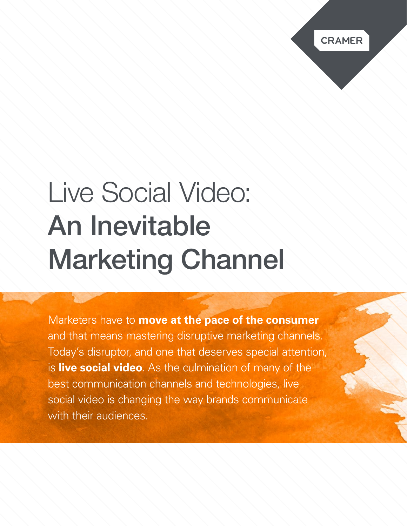# Live Social Video: An Inevitable Marketing Channel

Marketers have to **move at the pace of the consumer** and that means mastering disruptive marketing channels. Today's disruptor, and one that deserves special attention, is **live social video**. As the culmination of many of the best communication channels and technologies, live social video is changing the way brands communicate with their audiences.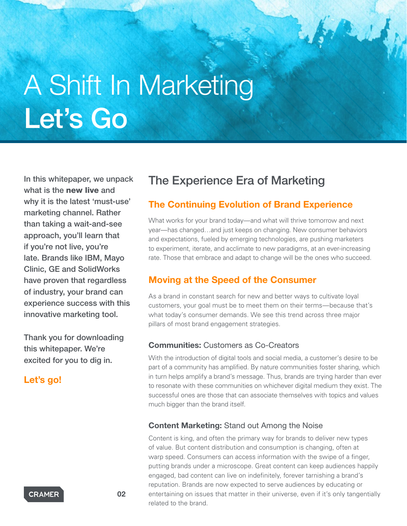# A Shift In Marketing Let's Go

In this whitepaper, we unpack what is the new live and why it is the latest 'must-use' marketing channel. Rather than taking a wait-and-see approach, you'll learn that if you're not live, you're late. Brands like IBM, Mayo Clinic, GE and SolidWorks have proven that regardless of industry, your brand can experience success with this innovative marketing tool.

Thank you for downloading this whitepaper. We're excited for you to dig in.

# Let's go!

# The Experience Era of Marketing

# The Continuing Evolution of Brand Experience

What works for your brand today—and what will thrive tomorrow and next year—has changed…and just keeps on changing. New consumer behaviors and expectations, fueled by emerging technologies, are pushing marketers to experiment, iterate, and acclimate to new paradigms, at an ever-increasing rate. Those that embrace and adapt to change will be the ones who succeed.

# Moving at the Speed of the Consumer

As a brand in constant search for new and better ways to cultivate loyal customers, your goal must be to meet them on their terms—because that's what today's consumer demands. We see this trend across three major pillars of most brand engagement strategies.

# Communities: Customers as Co-Creators

With the introduction of digital tools and social media, a customer's desire to be part of a community has amplified. By nature communities foster sharing, which in turn helps amplify a brand's message. Thus, brands are trying harder than ever to resonate with these communities on whichever digital medium they exist. The successful ones are those that can associate themselves with topics and values much bigger than the brand itself.

### Content Marketing: Stand out Among the Noise

Content is king, and often the primary way for brands to deliver new types of value. But content distribution and consumption is changing, often at warp speed. Consumers can access information with the swipe of a finger, putting brands under a microscope. Great content can keep audiences happily engaged, bad content can live on indefinitely, forever tarnishing a brand's reputation. Brands are now expected to serve audiences by educating or entertaining on issues that matter in their universe, even if it's only tangentially related to the brand.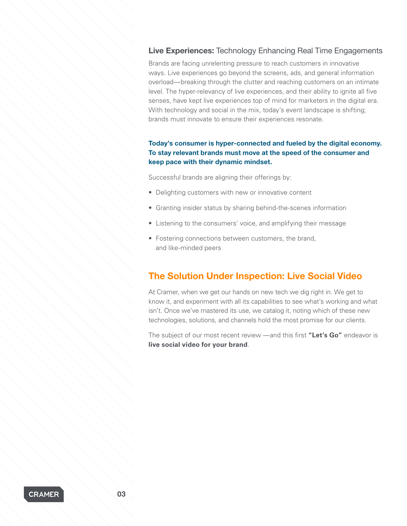# Live Experiences: Technology Enhancing Real Time Engagements

Brands are facing unrelenting pressure to reach customers in innovative ways. Live experiences go beyond the screens, ads, and general information overload—breaking through the clutter and reaching customers on an intimate level. The hyper-relevancy of live experiences, and their ability to ignite all five senses, have kept live experiences top of mind for marketers in the digital era. With technology and social in the mix, today's event landscape is shifting; brands must innovate to ensure their experiences resonate.

### Today's consumer is hyper-connected and fueled by the digital economy. To stay relevant brands must move at the speed of the consumer and keep pace with their dynamic mindset.

Successful brands are aligning their offerings by:

- Delighting customers with new or innovative content
- Granting insider status by sharing behind-the-scenes information
- Listening to the consumers' voice, and amplifying their message
- Fostering connections between customers, the brand, and like-minded peers

# The Solution Under Inspection: Live Social Video

At Cramer, when we get our hands on new tech we dig right in. We get to know it, and experiment with all its capabilities to see what's working and what isn't. Once we've mastered its use, we catalog it, noting which of these new technologies, solutions, and channels hold the most promise for our clients.

The subject of our most recent review —and this first **"Let's Go"** endeavor is **live social video for your brand**.

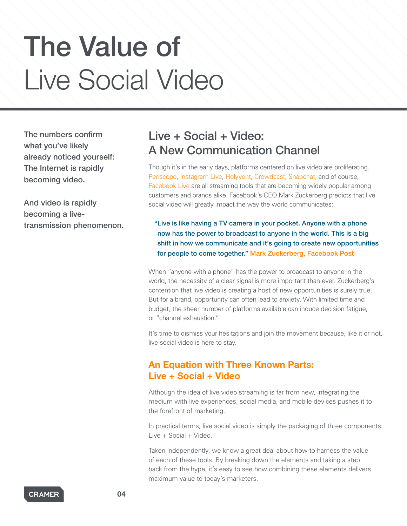# The Value of Live Social Video

The numbers confirm what you've likely already noticed yourself: The Internet is rapidly becoming video.

And video is rapidly becoming a livetransmission phenomenon.

# Live + Social + Video: A New Communication Channel

Though it's in the early days, platforms centered on live video are proliferating. [Periscope,](https://www.periscope.tv/) [Instagram Live](https://www.instagram.com/), [Holyvent,](https://www.holyvent.com/) [Crowdcast](https://www.crowdcast.io/), [Snapchat](https://www.snapchat.com/), and of course, [Facebook Live](https://live.fb.com/) are all streaming tools that are becoming widely popular among customers and brands alike. Facebook's CEO Mark Zuckerberg predicts that live social video will greatly impact the way the world communicates:

"Live is like having a TV camera in your pocket. Anyone with a phone now has the power to broadcast to anyone in the world. This is a big shift in how we communicate and it's going to create new opportunities for people to come together." [Mark Zuckerberg, Facebook Post](https://www.facebook.com/zuck/posts/10102764095821611)

When "anyone with a phone" has the power to broadcast to anyone in the world, the necessity of a clear signal is more important than ever. Zuckerberg's contention that live video is creating a host of new opportunities is surely true. But for a brand, opportunity can often lead to anxiety. With limited time and budget, the sheer number of platforms available can induce decision fatigue, or "channel exhaustion."

It's time to dismiss your hesitations and join the movement because, like it or not, live social video is here to stay.

# An Equation with Three Known Parts: Live + Social + Video

Although the idea of live video streaming is far from new, integrating the medium with live experiences, social media, and mobile devices pushes it to the forefront of marketing.

In practical terms, live social video is simply the packaging of three components: Live + Social + Video.

Taken independently, we know a great deal about how to harness the value of each of these tools. By breaking down the elements and taking a step back from the hype, it's easy to see how combining these elements delivers maximum value to today's marketers.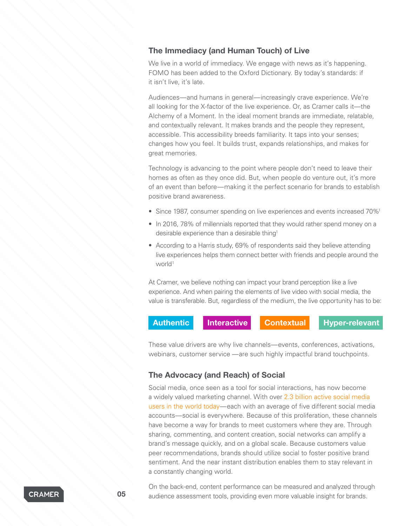# The Immediacy (and Human Touch) of Live

We live in a world of immediacy. We engage with news as it's happening. FOMO has been added to the Oxford Dictionary. By today's standards: if it isn't live, it's late.

Audiences—and humans in general—increasingly crave experience. We're all looking for the X-factor of the live experience. Or, as Cramer calls it—the Alchemy of a Moment. In the ideal moment brands are immediate, relatable, and contextually relevant. It makes brands and the people they represent, accessible. This accessibility breeds familiarity. It taps into your senses; changes how you feel. It builds trust, expands relationships, and makes for great memories.

Technology is advancing to the point where people don't need to leave their homes as often as they once did. But, when people do venture out, it's more of an event than before—making it the perfect scenario for brands to establish positive brand awareness.

- Since 1987, consumer spending on live experiences and events increased 70%<sup>1</sup>
- In 2016, 78% of millennials reported that they would rather spend money on a desirable experience than a desirable thing<sup>1</sup>
- According to a Harris study, 69% of respondents said they believe attending live experiences helps them connect better with friends and people around the world<sup>1</sup>

At Cramer, we believe nothing can impact your brand perception like a live experience. And when pairing the elements of live video with social media, the value is transferable. But, regardless of the medium, the live opportunity has to be:



These value drivers are why live channels—events, conferences, activations, webinars, customer service —are such highly impactful brand touchpoints.

## The Advocacy (and Reach) of Social

Social media, once seen as a tool for social interactions, has now become a widely valued marketing channel. With over [2.3 billion active social media](https://www.brandwatch.com/blog/96-amazing-social-media-statistics-and-facts-for-2016/)  [users in the world today—](https://www.brandwatch.com/blog/96-amazing-social-media-statistics-and-facts-for-2016/)each with an average of five different social media accounts—social is everywhere. Because of this proliferation, these channels have become a way for brands to meet customers where they are. Through sharing, commenting, and content creation, social networks can amplify a brand's message quickly, and on a global scale. Because customers value peer recommendations, brands should utilize social to foster positive brand sentiment. And the near instant distribution enables them to stay relevant in a constantly changing world.

On the back-end, content performance can be measured and analyzed through **05** audience assessment tools, providing even more valuable insight for brands.

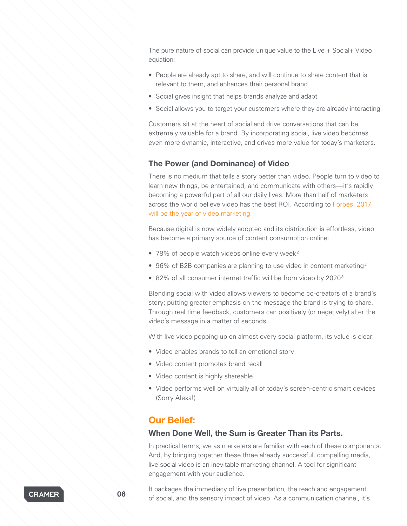The pure nature of social can provide unique value to the Live + Social+ Video equation:

- People are already apt to share, and will continue to share content that is relevant to them, and enhances their personal brand
- Social gives insight that helps brands analyze and adapt
- Social allows you to target your customers where they are already interacting

Customers sit at the heart of social and drive conversations that can be extremely valuable for a brand. By incorporating social, live video becomes even more dynamic, interactive, and drives more value for today's marketers.

### The Power (and Dominance) of Video

There is no medium that tells a story better than video. People turn to video to learn new things, be entertained, and communicate with others—it's rapidly becoming a powerful part of all our daily lives. More than half of marketers across the world believe video has the best ROI. According to [Forbes, 2017](https://www.forbes.com/forbes/welcome/?toURL=https://www.forbes.com/sites/ajagrawal/2017/02/01/lights-camera-engagement-2017-is-the-year-of-video-marketing/2/&refURL=&referrer=#553e6d795b08)  [will be the year of video marketing](https://www.forbes.com/forbes/welcome/?toURL=https://www.forbes.com/sites/ajagrawal/2017/02/01/lights-camera-engagement-2017-is-the-year-of-video-marketing/2/&refURL=&referrer=#553e6d795b08).

Because digital is now widely adopted and its distribution is effortless, video has become a primary source of content consumption online:

- 78% of people watch videos online every week<sup>2</sup>
- 96% of B2B companies are planning to use video in content marketing<sup>2</sup>
- 82% of all consumer internet traffic will be from video by 2020<sup>3</sup>

Blending social with video allows viewers to become co-creators of a brand's story; putting greater emphasis on the message the brand is trying to share. Through real time feedback, customers can positively (or negatively) alter the video's message in a matter of seconds.

With live video popping up on almost every social platform, its value is clear:

- Video enables brands to tell an emotional story
- Video content promotes brand recall
- Video content is highly shareable
- Video performs well on virtually all of today's screen-centric smart devices (Sorry Alexa!)

# Our Belief:

### When Done Well, the Sum is Greater Than its Parts.

In practical terms, we as marketers are familiar with each of these components. And, by bringing together these three already successful, compelling media, live social video is an inevitable marketing channel. A tool for significant engagement with your audience.

It packages the immediacy of live presentation, the reach and engagement of social, and the sensory impact of video. As a communication channel, it's 0.06

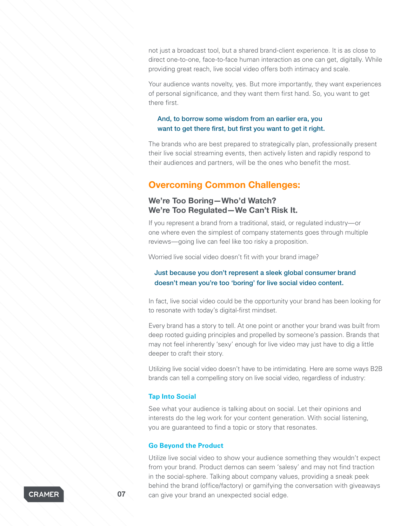not just a broadcast tool, but a shared brand-client experience. It is as close to direct one-to-one, face-to-face human interaction as one can get, digitally. While providing great reach, live social video offers both intimacy and scale.

Your audience wants novelty, yes. But more importantly, they want experiences of personal significance, and they want them first hand. So, you want to get there first.

### And, to borrow some wisdom from an earlier era, you want to get there first, but first you want to get it right.

The brands who are best prepared to strategically plan, professionally present their live social streaming events, then actively listen and rapidly respond to their audiences and partners, will be the ones who benefit the most.

# Overcoming Common Challenges:

# We're Too Boring—Who'd Watch? We're Too Regulated—We Can't Risk It.

If you represent a brand from a traditional, staid, or regulated industry—or one where even the simplest of company statements goes through multiple reviews—going live can feel like too risky a proposition.

Worried live social video doesn't fit with your brand image?

## Just because you don't represent a sleek global consumer brand doesn't mean you're too 'boring' for live social video content.

In fact, live social video could be the opportunity your brand has been looking for to resonate with today's digital-first mindset.

Every brand has a story to tell. At one point or another your brand was built from deep rooted guiding principles and propelled by someone's passion. Brands that may not feel inherently 'sexy' enough for live video may just have to dig a little deeper to craft their story.

Utilizing live social video doesn't have to be intimidating. Here are some ways B2B brands can tell a compelling story on live social video, regardless of industry:

### **Tap Into Social**

See what your audience is talking about on social. Let their opinions and interests do the leg work for your content generation. With social listening, you are guaranteed to find a topic or story that resonates.

### **Go Beyond the Product**

Utilize live social video to show your audience something they wouldn't expect from your brand. Product demos can seem 'salesy' and may not find traction in the social-sphere. Talking about company values, providing a sneak peek behind the brand (office/factory) or gamifying the conversation with giveaways **07** can give your brand an unexpected social edge.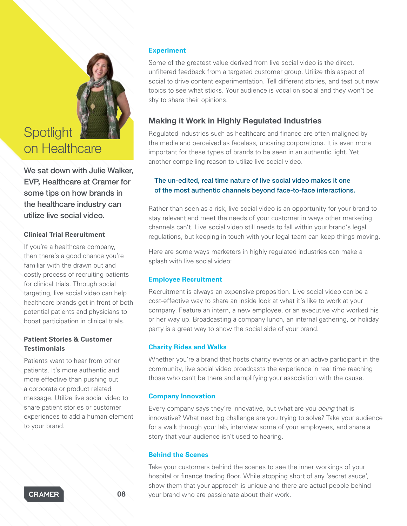# **Spotlight** on Healthcare

We sat down with Julie Walker. EVP, Healthcare at Cramer for some tips on how brands in the healthcare industry can utilize live social video.

## **Clinical Trial Recruitment**

If you're a healthcare company, then there's a good chance you're familiar with the drawn out and costly process of recruiting patients for clinical trials. Through social targeting, live social video can help healthcare brands get in front of both potential patients and physicians to boost participation in clinical trials.

# **Patient Stories & Customer Testimonials**

Patients want to hear from other patients. It's more authentic and more effective than pushing out a corporate or product related message. Utilize live social video to share patient stories or customer experiences to add a human element to your brand.

# **Experiment**

Some of the greatest value derived from live social video is the direct, unfiltered feedback from a targeted customer group. Utilize this aspect of social to drive content experimentation. Tell different stories, and test out new topics to see what sticks. Your audience is vocal on social and they won't be shy to share their opinions.

# Making it Work in Highly Regulated Industries

Regulated industries such as healthcare and finance are often maligned by the media and perceived as faceless, uncaring corporations. It is even more important for these types of brands to be seen in an authentic light. Yet another compelling reason to utilize live social video.

# The un-edited, real time nature of live social video makes it one of the most authentic channels beyond face-to-face interactions.

Rather than seen as a risk, live social video is an opportunity for your brand to stay relevant and meet the needs of your customer in ways other marketing channels can't. Live social video still needs to fall within your brand's legal regulations, but keeping in touch with your legal team can keep things moving.

Here are some ways marketers in highly regulated industries can make a splash with live social video:

# **Employee Recruitment**

Recruitment is always an expensive proposition. Live social video can be a cost-effective way to share an inside look at what it's like to work at your company. Feature an intern, a new employee, or an executive who worked his or her way up. Broadcasting a company lunch, an internal gathering, or holiday party is a great way to show the social side of your brand.

# **Charity Rides and Walks**

Whether you're a brand that hosts charity events or an active participant in the community, live social video broadcasts the experience in real time reaching those who can't be there and amplifying your association with the cause.

## **Company Innovation**

Every company says they're innovative, but what are you *doing* that is innovative? What next big challenge are you trying to solve? Take your audience for a walk through your lab, interview some of your employees, and share a story that your audience isn't used to hearing.

### **Behind the Scenes**

Take your customers behind the scenes to see the inner workings of your hospital or finance trading floor. While stopping short of any 'secret sauce', show them that your approach is unique and there are actual people behind your brand who are passionate about their work.

**CRAMER**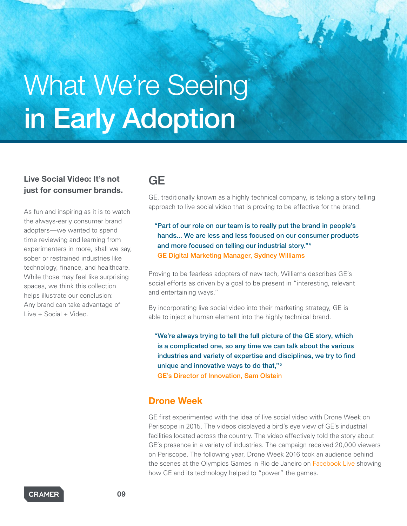# What We're Seeing in Early Adoption

# Live Social Video: It's not just for consumer brands.

As fun and inspiring as it is to watch the always-early consumer brand adopters—we wanted to spend time reviewing and learning from experimenters in more, shall we say, sober or restrained industries like technology, finance, and healthcare. While those may feel like surprising spaces, we think this collection helps illustrate our conclusion: Any brand can take advantage of Live + Social + Video.

# **GE**

GE, traditionally known as a highly technical company, is taking a story telling approach to live social video that is proving to be effective for the brand.

"Part of our role on our team is to really put the brand in people's hands... We are less and less focused on our consumer products and more focused on telling our industrial story."4 [GE Digital Marketing Manager, Sydney Williams](http://marketingland.com/ge-uses-live-video-tell-stories-humanize-industrial-side-brand-171010)

Proving to be fearless adopters of new tech, Williams describes GE's social efforts as driven by a goal to be present in "interesting, relevant and entertaining ways."

By incorporating live social video into their marketing strategy, GE is able to inject a human element into the highly technical brand.

"We're always trying to tell the full picture of the GE story, which is a complicated one, so any time we can talk about the various industries and variety of expertise and disciplines, we try to find unique and innovative ways to do that,"5 [GE's Director of Innovation, Sam Olstein](https://www.fastcocreate.com/3048699/drone-periscope-ge-launches-droneweek-five-day-livestreaming-content-bonanza)

# Drone Week

GE first experimented with the idea of live social video with Drone Week on Periscope in 2015. The videos displayed a bird's eye view of GE's industrial facilities located across the country. The video effectively told the story about GE's presence in a variety of industries. The campaign received 20,000 viewers on Periscope. The following year, Drone Week 2016 took an audience behind the scenes at the Olympics Games in Rio de Janeiro on [Facebook Live](https://www.facebook.com/pg/GE/videos/) showing how GE and its technology helped to "power" the games.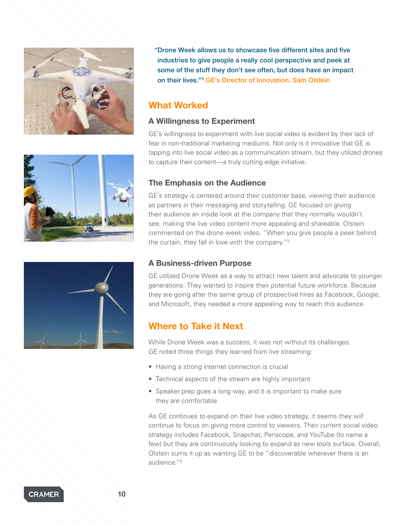





"Drone Week allows us to showcase five different sites and five industries to give people a really cool perspective and peek at some of the stuff they don't see often, but does have an impact on their lives."5 [GE's Director of Innovation, Sam Olstein](https://www.fastcocreate.com/3048699/drone-periscope-ge-launches-droneweek-five-day-livestreaming-content-bonanza)

# What Worked

# A Willingness to Experiment

GE's willingness to experiment with live social video is evident by their lack of fear in non-traditional marketing mediums. Not only is it innovative that GE is tapping into live social video as a communication stream, but they utilized drones to capture their content—a truly cutting edge initiative.

# The Emphasis on the Audience

GE's strategy is centered around their customer base, viewing their audience as partners in their messaging and storytelling. GE focused on giving their audience an inside look at the company that they normally wouldn't see, making the live video content more appealing and shareable. Olstein commented on the drone week video, "When you give people a peek behind the curtain, they fall in love with the company."5

# A Business-driven Purpose

GE utilized Drone Week as a way to attract new talent and advocate to younger generations. They wanted to inspire their potential future workforce. Because they are going after the same group of prospective hires as Facebook, Google, and Microsoft, they needed a more appealing way to reach this audience.

# Where to Take it Next

While Drone Week was a success, it was not without its challenges. GE noted three things they learned from live streaming:

- Having a strong internet connection is crucial
- Technical aspects of the stream are highly important
- Speaker prep goes a long way, and it is important to make sure they are comfortable

As GE continues to expand on their live video strategy, it seems they will continue to focus on giving more control to viewers. Their current social video strategy includes Facebook, Snapchat, Periscope, and YouTube (to name a few) but they are continuously looking to expand as new tools surface. Overall, Olstein sums it up as wanting GE to be "discoverable wherever there is an audience."5

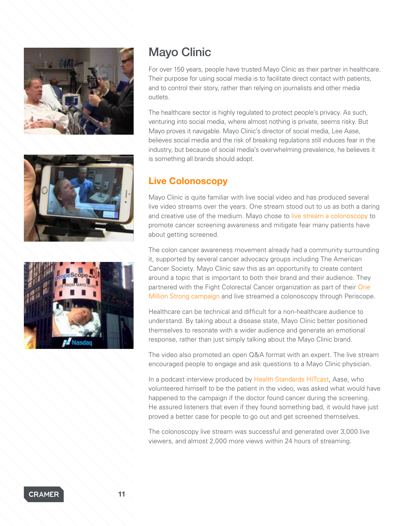





# Mayo Clinic

For over 150 years, people have trusted Mayo Clinic as their partner in healthcare. Their purpose for using social media is to facilitate direct contact with patients, and to control their story, rather than relying on journalists and other media outlets.

The healthcare sector is highly regulated to protect people's privacy. As such, venturing into social media, where almost nothing is private, seems risky. But Mayo proves it navigable. Mayo Clinic's director of social media, Lee Aase, believes social media and the risk of breaking regulations still induces fear in the industry, but because of social media's overwhelming prevalence, he believes it is something all brands should adopt.

# Live Colonoscopy

Mayo Clinic is quite familiar with live social video and has produced several live video streams over the years. One stream stood out to us as both a daring and creative use of the medium. Mayo chose to [live stream a colonoscopy](http://newsnetwork.mayoclinic.org/discussion/scopescope-live-periscope-colonoscopy-from-mayo-clinic/) to promote cancer screening awareness and mitigate fear many patients have about getting screened.

The colon cancer awareness movement already had a community surrounding it, supported by several cancer advocacy groups including The American Cancer Society. Mayo Clinic saw this as an opportunity to create content around a topic that is important to both their brand and their audience. They partnered with the Fight Colorectal Cancer organization as part of their [One](http://fightcolorectalcancer.org/advocacy/campaigns/one-million-strong/)  [Million Strong campaign](http://fightcolorectalcancer.org/advocacy/campaigns/one-million-strong/) and live streamed a colonoscopy through Periscope.

Healthcare can be technical and difficult for a non-healthcare audience to understand. By taking about a disease state, Mayo Clinic better positioned themselves to resonate with a wider audience and generate an emotional response, rather than just simply talking about the Mayo Clinic brand.

The video also promoted an open Q&A format with an expert. The live stream encouraged people to engage and ask questions to a Mayo Clinic physician.

In a podcast interview produced by [Health Standards HITcast,](http://healthstandards.com/blog/2016/07/06/mayo-clinics-lee-aase-on-how-social-media-use-in-healthcare-is-changing/) Aase, who volunteered himself to be the patient in the video, was asked what would have happened to the campaign if the doctor found cancer during the screening. He assured listeners that even if they found something bad, it would have just proved a better case for people to go out and get screened themselves.

The colonoscopy live stream was successful and generated over 3,000 live viewers, and almost 2,000 more views within 24 hours of streaming.

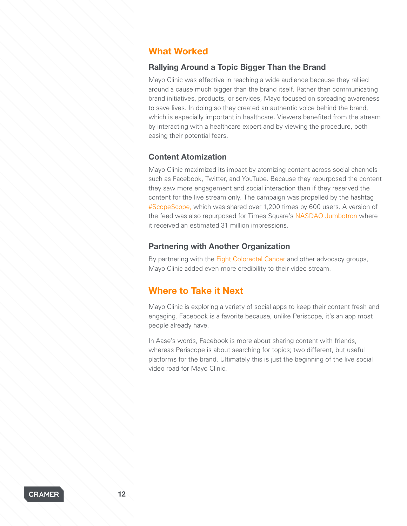# What Worked

# Rallying Around a Topic Bigger Than the Brand

Mayo Clinic was effective in reaching a wide audience because they rallied around a cause much bigger than the brand itself. Rather than communicating brand initiatives, products, or services, Mayo focused on spreading awareness to save lives. In doing so they created an authentic voice behind the brand, which is especially important in healthcare. Viewers benefited from the stream by interacting with a healthcare expert and by viewing the procedure, both easing their potential fears.

### Content Atomization

Mayo Clinic maximized its impact by atomizing content across social channels such as Facebook, Twitter, and YouTube. Because they repurposed the content they saw more engagement and social interaction than if they reserved the content for the live stream only. The campaign was propelled by the hashtag [#ScopeScope](https://twitter.com/search?q=%23scopescope), which was shared over 1,200 times by 600 users. A version of the feed was also repurposed for Times Square's [NASDAQ Jumbotron](https://www.instagram.com/p/BCfrLX2llyr/) where it received an estimated 31 million impressions.

### Partnering with Another Organization

By partnering with the [Fight Colorectal Cancer](http://fightcolorectalcancer.org/) and other advocacy groups, Mayo Clinic added even more credibility to their video stream.

# Where to Take it Next

Mayo Clinic is exploring a variety of social apps to keep their content fresh and engaging. Facebook is a favorite because, unlike Periscope, it's an app most people already have.

In Aase's words, Facebook is more about sharing content with friends, whereas Periscope is about searching for topics; two different, but useful platforms for the brand. Ultimately this is just the beginning of the live social video road for Mayo Clinic.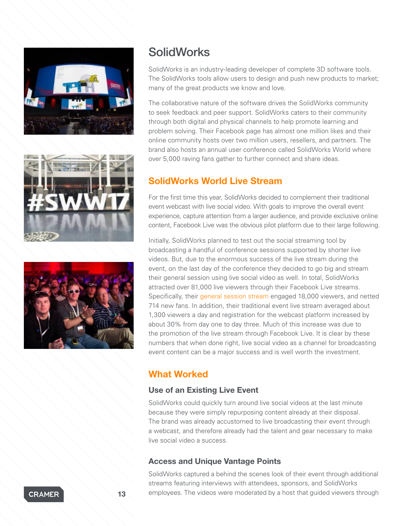





# **SolidWorks**

SolidWorks is an industry-leading developer of complete 3D software tools. The SolidWorks tools allow users to design and push new products to market; many of the great products we know and love.

The collaborative nature of the software drives the SolidWorks community to seek feedback and peer support. SolidWorks caters to their community through both digital and physical channels to help promote learning and problem solving. Their Facebook page has almost one million likes and their online community hosts over two million users, resellers, and partners. The brand also hosts an annual user conference called SolidWorks World where over 5,000 raving fans gather to further connect and share ideas.

# SolidWorks World Live Stream

For the first time this year, SolidWorks decided to complement their traditional event webcast with live social video. With goals to improve the overall event experience, capture attention from a larger audience, and provide exclusive online content, Facebook Live was the obvious pilot platform due to their large following.

Initially, SolidWorks planned to test out the social streaming tool by broadcasting a handful of conference sessions supported by shorter live videos. But, due to the enormous success of the live stream during the event, on the last day of the conference they decided to go big and stream their general session using live social video as well. In total, SolidWorks attracted over 81,000 live viewers through their Facebook Live streams. Specifically, their [general session stream](https://www.facebook.com/pg/solidworks/videos/?ref=page_internal) engaged 18,000 viewers, and netted 714 new fans. In addition, their traditional event live stream averaged about 1,300 viewers a day and registration for the webcast platform increased by about 30% from day one to day three. Much of this increase was due to the promotion of the live stream through Facebook Live. It is clear by these numbers that when done right, live social video as a channel for broadcasting event content can be a major success and is well worth the investment.

# What Worked

# Use of an Existing Live Event

SolidWorks could quickly turn around live social videos at the last minute because they were simply repurposing content already at their disposal. The brand was already accustomed to live broadcasting their event through a webcast, and therefore already had the talent and gear necessary to make live social video a success.

# Access and Unique Vantage Points

SolidWorks captured a behind the scenes look of their event through additional streams featuring interviews with attendees, sponsors, and SolidWorks 13 employees. The videos were moderated by a host that guided viewers through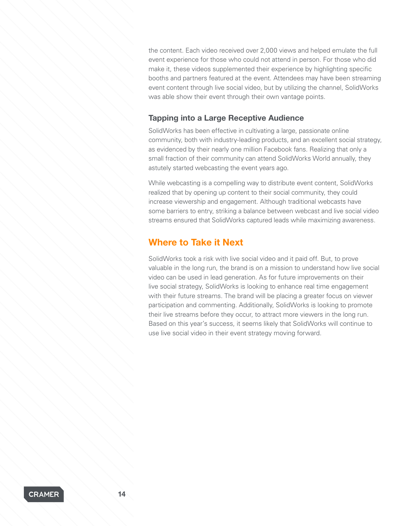the content. Each video received over 2,000 views and helped emulate the full event experience for those who could not attend in person. For those who did make it, these videos supplemented their experience by highlighting specific booths and partners featured at the event. Attendees may have been streaming event content through live social video, but by utilizing the channel, SolidWorks was able show their event through their own vantage points.

# Tapping into a Large Receptive Audience

SolidWorks has been effective in cultivating a large, passionate online community, both with industry-leading products, and an excellent social strategy, as evidenced by their nearly one million Facebook fans. Realizing that only a small fraction of their community can attend SolidWorks World annually, they astutely started webcasting the event years ago.

While webcasting is a compelling way to distribute event content, SolidWorks realized that by opening up content to their social community, they could increase viewership and engagement. Although traditional webcasts have some barriers to entry, striking a balance between webcast and live social video streams ensured that SolidWorks captured leads while maximizing awareness.

# Where to Take it Next

SolidWorks took a risk with live social video and it paid off. But, to prove valuable in the long run, the brand is on a mission to understand how live social video can be used in lead generation. As for future improvements on their live social strategy, SolidWorks is looking to enhance real time engagement with their future streams. The brand will be placing a greater focus on viewer participation and commenting. Additionally, SolidWorks is looking to promote their live streams before they occur, to attract more viewers in the long run. Based on this year's success, it seems likely that SolidWorks will continue to use live social video in their event strategy moving forward.

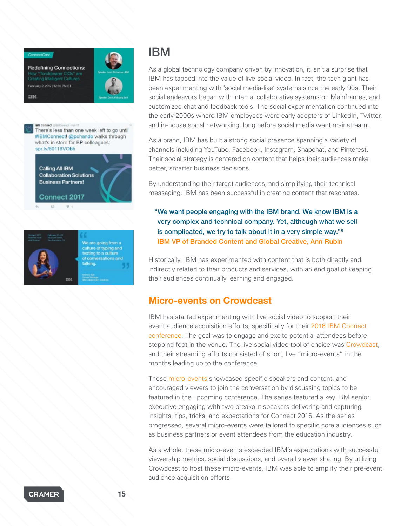Redefining Connections: How "Torchbearer CIOs" and Creating Intelligent Cultures February 2, 2017 | 12:30 PM ET IBM



**IBM Connect (IIIFMCor** ract - Feb 17 There's less than one week left to go until #IBMConnectI @pchando walks through what's in store for BP colleagues: spr.ly/60118VObh

Calling All IBM **Collaboration Solutions Business Partners!** Connect 2017



We are going from a texting to a culture of conversations and talking.

# IBM

As a global technology company driven by innovation, it isn't a surprise that IBM has tapped into the value of live social video. In fact, the tech giant has been experimenting with 'social media-like' systems since the early 90s. Their social endeavors began with internal collaborative systems on Mainframes, and customized chat and feedback tools. The social experimentation continued into the early 2000s where IBM employees were early adopters of LinkedIn, Twitter, and in-house social networking, long before social media went mainstream.

As a brand, IBM has built a strong social presence spanning a variety of channels including YouTube, Facebook, Instagram, Snapchat, and Pinterest. Their social strategy is centered on content that helps their audiences make better, smarter business decisions.

By understanding their target audiences, and simplifying their technical messaging, IBM has been successful in creating content that resonates.

"We want people engaging with the IBM brand. We know IBM is a very complex and technical company. Yet, although what we sell is complicated, we try to talk about it in a very simple way."6 [IBM VP of Branded Content and Global Creative, Ann Rubin](https://contently.com/strategist/2014/10/06/we-always-give-people-a-path-into-our-technology-inside-ibms-incredible-content-marketing/)

Historically, IBM has experimented with content that is both directly and indirectly related to their products and services, with an end goal of keeping their audiences continually learning and engaged.

# Micro-events on Crowdcast

IBM has started experimenting with live social video to support their event audience acquisition efforts, specifically for their [2016 IBM Connect](https://www-01.ibm.com/software/collaboration/events/connect/)  [conference](https://www-01.ibm.com/software/collaboration/events/connect/). The goal was to engage and excite potential attendees before stepping foot in the venue. The live social video tool of choice was [Crowdcast,](https://www.crowdcast.io/) and their streaming efforts consisted of short, live "micro-events" in the months leading up to the conference.

These [micro-events](https://www.crowdcast.io/ibm) showcased specific speakers and content, and encouraged viewers to join the conversation by discussing topics to be featured in the upcoming conference. The series featured a key IBM senior executive engaging with two breakout speakers delivering and capturing insights, tips, tricks, and expectations for Connect 2016. As the series progressed, several micro-events were tailored to specific core audiences such as business partners or event attendees from the education industry.

As a whole, these micro-events exceeded IBM's expectations with successful viewership metrics, social discussions, and overall viewer sharing. By utilizing Crowdcast to host these micro-events, IBM was able to amplify their pre-event audience acquisition efforts.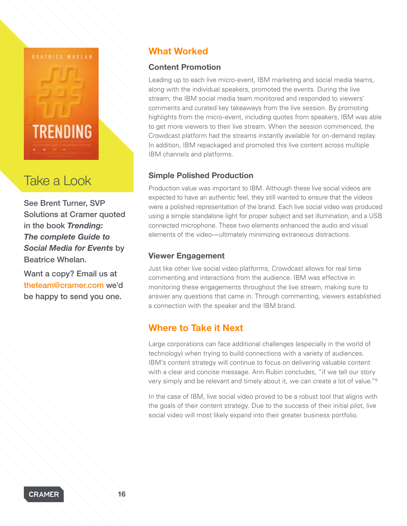

# Take a Look

See Brent Turner, SVP Solutions at Cramer quoted in the book *Trending: The complete Guide to Social Media for Events* by Beatrice Whelan.

Want a copy? Email us at [theteam@cramer.com](mailto:theteam%40cramer.com?subject=Please%20send%20me%20a%20copy%20of%20Trending) we'd be happy to send you one.

# What Worked

# Content Promotion

Leading up to each live micro-event, IBM marketing and social media teams, along with the individual speakers, promoted the events. During the live stream, the IBM social media team monitored and responded to viewers' comments and curated key takeaways from the live session. By promoting highlights from the micro-event, including quotes from speakers, IBM was able to get more viewers to their live stream. When the session commenced, the Crowdcast platform had the streams instantly available for on-demand replay. In addition, IBM repackaged and promoted this live content across multiple IBM channels and platforms.

# Simple Polished Production

Production value was important to IBM. Although these live social videos are expected to have an authentic feel, they still wanted to ensure that the videos were a polished representation of the brand. Each live social video was produced using a simple standalone light for proper subject and set illumination, and a USB connected microphone. These two elements enhanced the audio and visual elements of the video—ultimately minimizing extraneous distractions.

# Viewer Engagement

Just like other live social video platforms, Crowdcast allows for real time commenting and interactions from the audience. IBM was effective in monitoring these engagements throughout the live stream, making sure to answer any questions that came in. Through commenting, viewers established a connection with the speaker and the IBM brand.

# Where to Take it Next

Large corporations can face additional challenges (especially in the world of technology) when trying to build connections with a variety of audiences. IBM's content strategy will continue to focus on delivering valuable content with a clear and concise message. Ann Rubin concludes, "if we tell our story very simply and be relevant and timely about it, we can create a lot of value."6

In the case of IBM, live social video proved to be a robust tool that aligns with the goals of their content strategy. Due to the success of their initial pilot, live social video will most likely expand into their greater business portfolio.

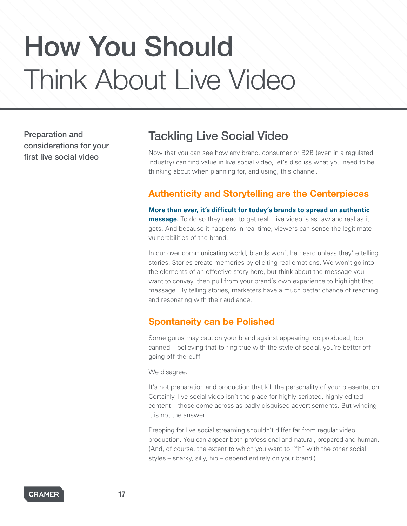# How You Should Think About Live Video

Preparation and considerations for your first live social video

# Tackling Live Social Video

Now that you can see how any brand, consumer or B2B (even in a regulated industry) can find value in live social video, let's discuss what you need to be thinking about when planning for, and using, this channel.

# Authenticity and Storytelling are the Centerpieces

**More than ever, it's difficult for today's brands to spread an authentic message.** To do so they need to get real. Live video is as raw and real as it gets. And because it happens in real time, viewers can sense the legitimate vulnerabilities of the brand.

In our over communicating world, brands won't be heard unless they're telling stories. Stories create memories by eliciting real emotions. We won't go into the elements of an effective story here, but think about the message you want to convey, then pull from your brand's own experience to highlight that message. By telling stories, marketers have a much better chance of reaching and resonating with their audience.

# Spontaneity can be Polished

Some gurus may caution your brand against appearing too produced, too canned—believing that to ring true with the style of social, you're better off going off-the-cuff.

We disagree.

It's not preparation and production that kill the personality of your presentation. Certainly, live social video isn't the place for highly scripted, highly edited content – those come across as badly disguised advertisements. But winging it is not the answer.

Prepping for live social streaming shouldn't differ far from regular video production. You can appear both professional and natural, prepared and human. (And, of course, the extent to which you want to "fit" with the other social styles – snarky, silly, hip – depend entirely on your brand.)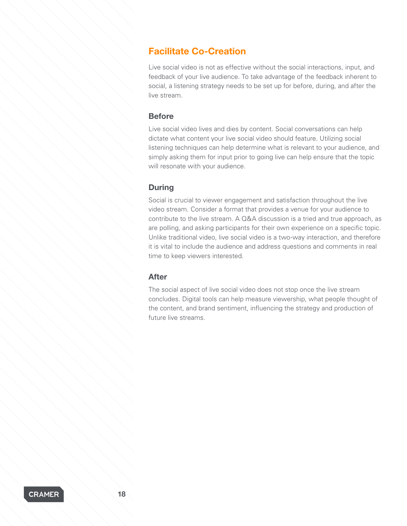# Facilitate Co-Creation

Live social video is not as effective without the social interactions, input, and feedback of your live audience. To take advantage of the feedback inherent to social, a listening strategy needs to be set up for before, during, and after the live stream.

### **Before**

Live social video lives and dies by content. Social conversations can help dictate what content your live social video should feature. Utilizing social listening techniques can help determine what is relevant to your audience, and simply asking them for input prior to going live can help ensure that the topic will resonate with your audience.

## **During**

Social is crucial to viewer engagement and satisfaction throughout the live video stream. Consider a format that provides a venue for your audience to contribute to the live stream. A Q&A discussion is a tried and true approach, as are polling, and asking participants for their own experience on a specific topic. Unlike traditional video, live social video is a two-way interaction, and therefore it is vital to include the audience and address questions and comments in real time to keep viewers interested.

### After

The social aspect of live social video does not stop once the live stream concludes. Digital tools can help measure viewership, what people thought of the content, and brand sentiment, influencing the strategy and production of future live streams.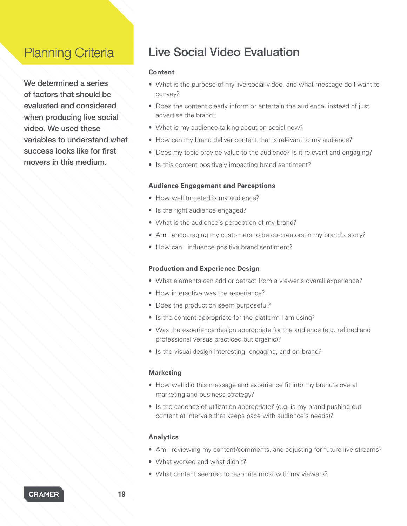# Planning Criteria

We determined a series of factors that should be evaluated and considered when producing live social video. We used these variables to understand what success looks like for first movers in this medium.

# Live Social Video Evaluation

### **Content**

- What is the purpose of my live social video, and what message do I want to convey?
- Does the content clearly inform or entertain the audience, instead of just advertise the brand?
- What is my audience talking about on social now?
- How can my brand deliver content that is relevant to my audience?
- Does my topic provide value to the audience? Is it relevant and engaging?
- Is this content positively impacting brand sentiment?

### **Audience Engagement and Perceptions**

- How well targeted is my audience?
- Is the right audience engaged?
- What is the audience's perception of my brand?
- Am I encouraging my customers to be co-creators in my brand's story?
- How can I influence positive brand sentiment?

### **Production and Experience Design**

- What elements can add or detract from a viewer's overall experience?
- How interactive was the experience?
- Does the production seem purposeful?
- Is the content appropriate for the platform I am using?
- Was the experience design appropriate for the audience (e.g. refined and professional versus practiced but organic)?
- Is the visual design interesting, engaging, and on-brand?

### **Marketing**

- How well did this message and experience fit into my brand's overall marketing and business strategy?
- Is the cadence of utilization appropriate? (e.g. is my brand pushing out content at intervals that keeps pace with audience's needs)?

### **Analytics**

- Am I reviewing my content/comments, and adjusting for future live streams?
- What worked and what didn't?
- What content seemed to resonate most with my viewers?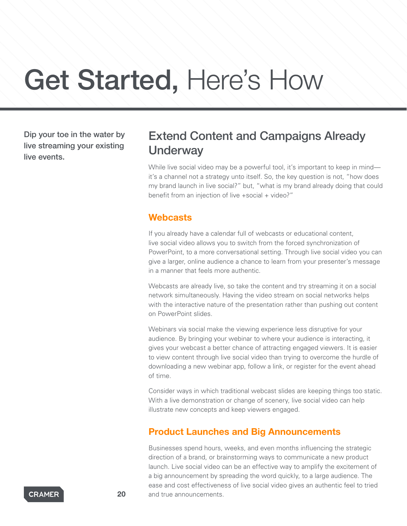# Get Started, Here's How

Dip your toe in the water by live streaming your existing live events.

# Extend Content and Campaigns Already **Underway**

While live social video may be a powerful tool, it's important to keep in mind it's a channel not a strategy unto itself. So, the key question is not, "how does my brand launch in live social?" but, "what is my brand already doing that could benefit from an injection of live +social + video?"

# **Webcasts**

If you already have a calendar full of webcasts or educational content, live social video allows you to switch from the forced synchronization of PowerPoint, to a more conversational setting. Through live social video you can give a larger, online audience a chance to learn from your presenter's message in a manner that feels more authentic.

Webcasts are already live, so take the content and try streaming it on a social network simultaneously. Having the video stream on social networks helps with the interactive nature of the presentation rather than pushing out content on PowerPoint slides.

Webinars via social make the viewing experience less disruptive for your audience. By bringing your webinar to where your audience is interacting, it gives your webcast a better chance of attracting engaged viewers. It is easier to view content through live social video than trying to overcome the hurdle of downloading a new webinar app, follow a link, or register for the event ahead of time.

Consider ways in which traditional webcast slides are keeping things too static. With a live demonstration or change of scenery, live social video can help illustrate new concepts and keep viewers engaged.

# Product Launches and Big Announcements

Businesses spend hours, weeks, and even months influencing the strategic direction of a brand, or brainstorming ways to communicate a new product launch. Live social video can be an effective way to amplify the excitement of a big announcement by spreading the word quickly, to a large audience. The ease and cost effectiveness of live social video gives an authentic feel to tried 20 and true announcements.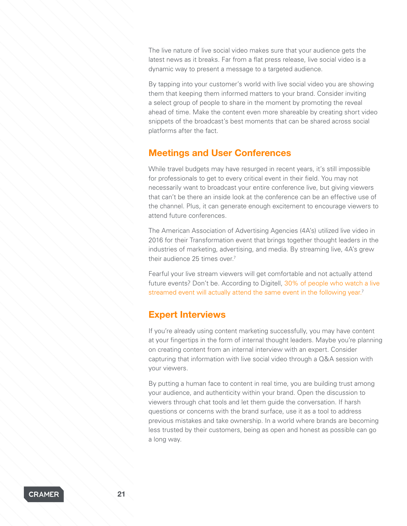The live nature of live social video makes sure that your audience gets the latest news as it breaks. Far from a flat press release, live social video is a dynamic way to present a message to a targeted audience.

By tapping into your customer's world with live social video you are showing them that keeping them informed matters to your brand. Consider inviting a select group of people to share in the moment by promoting the reveal ahead of time. Make the content even more shareable by creating short video snippets of the broadcast's best moments that can be shared across social platforms after the fact.

# Meetings and User Conferences

While travel budgets may have resurged in recent years, it's still impossible for professionals to get to every critical event in their field. You may not necessarily want to broadcast your entire conference live, but giving viewers that can't be there an inside look at the conference can be an effective use of the channel. Plus, it can generate enough excitement to encourage viewers to attend future conferences.

The American Association of Advertising Agencies (4A's) utilized live video in 2016 for their Transformation event that brings together thought leaders in the industries of marketing, advertising, and media. By streaming live, 4A's grew their audience 25 times over.<sup>7</sup>

Fearful your live stream viewers will get comfortable and not actually attend future events? Don't be. According to Digitell, [30% of people who watch a live](http://adage.com/article/digitalnext/practices-live-video-enhance-events/304099/)  [streamed event will actually attend the same event in the following year.](http://adage.com/article/digitalnext/practices-live-video-enhance-events/304099/)<sup>7</sup>

# Expert Interviews

If you're already using content marketing successfully, you may have content at your fingertips in the form of internal thought leaders. Maybe you're planning on creating content from an internal interview with an expert. Consider capturing that information with live social video through a Q&A session with your viewers.

By putting a human face to content in real time, you are building trust among your audience, and authenticity within your brand. Open the discussion to viewers through chat tools and let them guide the conversation. If harsh questions or concerns with the brand surface, use it as a tool to address previous mistakes and take ownership. In a world where brands are becoming less trusted by their customers, being as open and honest as possible can go a long way.

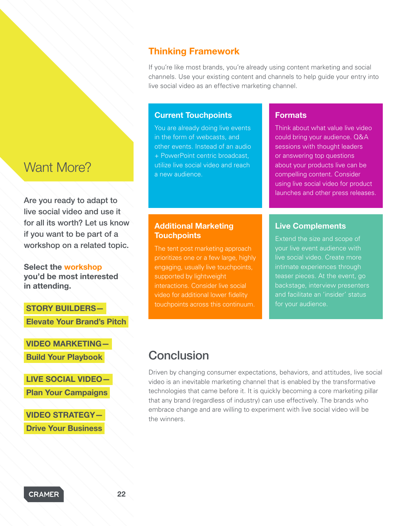# Want More?

Are you ready to adapt to live social video and use it for all its worth? Let us know if you want to be part of a workshop on a related topic.

Select the [workshop](https://cramer.typeform.com/to/COZBTZ) you'd be most interested in attending.

# STORY BUILDERS—  [Elevate Your Brand's Pitch](https://cramer.typeform.com/to/COZBTZ)

[VIDEO MARKETING—](https://cramer.typeform.com/to/COZBTZ)   [Build Your Playbook](https://cramer.typeform.com/to/COZBTZ) 

LIVE SOCIAL VIDEO—  [Plan Your Campaigns](https://cramer.typeform.com/to/COZBTZ) 

VIDEO STRATEGY— Drive Your Business

# Thinking Framework

If you're like most brands, you're already using content marketing and social channels. Use your existing content and channels to help guide your entry into live social video as an effective marketing channel.

### Current Touchpoints

You are already doing live events in the form of webcasts, and other events. Instead of an audio + PowerPoint centric broadcast, utilize live social video and reach a new audience.

# **Formats**

Think about what value live video could bring your audience. Q&A sessions with thought leaders or answering top questions about your products live can be compelling content. Consider using live social video for product launches and other press releases.

# Additional Marketing **Touchpoints**

The tent post marketing approach prioritizes one or a few large, highly engaging, usually live touchpoints, supported by lightweight interactions. Consider live social video for additional lower fidelity touchpoints across this continuum.

### Live Complements

Extend the size and scope of your live event audience with live social video. Create more intimate experiences through teaser pieces. At the event, go backstage, interview presenters and facilitate an 'insider' status for your audience.

# Conclusion

Driven by changing consumer expectations, behaviors, and attitudes, live social video is an inevitable marketing channel that is enabled by the transformative technologies that came before it. It is quickly becoming a core marketing pillar that any brand (regardless of industry) can use effectively. The brands who embrace change and are willing to experiment with live social video will be the winners.

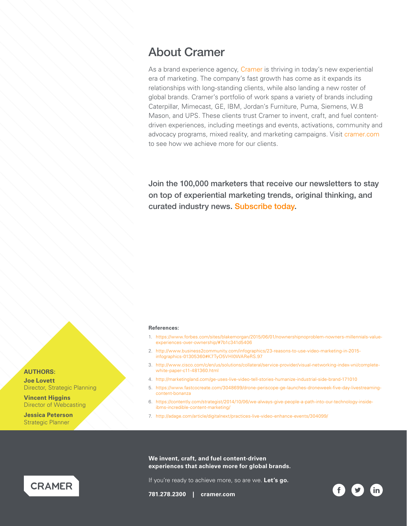# About Cramer

As a brand experience agency, [Cramer](http://cramer.com/) is thriving in today's new experiential era of marketing. The company's fast growth has come as it expands its relationships with long-standing clients, while also landing a new roster of global brands. Cramer's portfolio of work spans a variety of brands including Caterpillar, Mimecast, GE, IBM, Jordan's Furniture, Puma, Siemens, W.B Mason, and UPS. These clients trust Cramer to invent, craft, and fuel contentdriven experiences, including meetings and events, activations, community and advocacy programs, mixed reality, and marketing campaigns. Visit [cramer.com](http://cramer.com) to see how we achieve more for our clients.

Join the 100,000 marketers that receive our newsletters to stay on top of experiential marketing trends, original thinking, and curated industry news. [Subscribe today](http://cramer.com/subscribe/).

### **References:**

- 1. [https://www.forbes.com/sites/blakemorgan/2015/06/01/nownershipnoproblem-nowners-millennials-value](https://www.forbes.com/sites/blakemorgan/2015/06/01/nownershipnoproblem-nowners-millennials-value-experiences-over-ownership/#7b1c341d5406)[experiences-over-ownership/#7b1c341d5406](https://www.forbes.com/sites/blakemorgan/2015/06/01/nownershipnoproblem-nowners-millennials-value-experiences-over-ownership/#7b1c341d5406)
- 2. [http://www.business2community.com/infographics/23-reasons-to-use-video-marketing-in-2015](http://www.business2community.com/infographics/23-reasons-to-use-video-marketing-in-2015-infographics-01305360#K7TyO5VHI0WAReRS.97) [infographics-01305360#K7TyO5VHI0WAReRS.97](http://www.business2community.com/infographics/23-reasons-to-use-video-marketing-in-2015-infographics-01305360#K7TyO5VHI0WAReRS.97)
- 3. [http://www.cisco.com/c/en/us/solutions/collateral/service-provider/visual-networking-index-vni/complete](http://www.cisco.com/c/en/us/solutions/collateral/service-provider/visual-networking-index-vni/complete-white-paper-c11-481360.html)[white-paper-c11-481360.html](http://www.cisco.com/c/en/us/solutions/collateral/service-provider/visual-networking-index-vni/complete-white-paper-c11-481360.html)
- 4. <http://marketingland.com/ge-uses-live-video-tell-stories-humanize-industrial-side-brand-171010>
- 5. [https://www.fastcocreate.com/3048699/drone-periscope-ge-launches-droneweek-five-day-livestreaming](https://www.fastcocreate.com/3048699/drone-periscope-ge-launches-droneweek-five-day-livestreaming-content-bonanza)[content-bonanza](https://www.fastcocreate.com/3048699/drone-periscope-ge-launches-droneweek-five-day-livestreaming-content-bonanza)
- 6. [https://contently.com/strategist/2014/10/06/we-always-give-people-a-path-into-our-technology-inside](https://contently.com/strategist/2014/10/06/we-always-give-people-a-path-into-our-technology-inside-ibms-incredible-content-marketing/)[ibms-incredible-content-marketing/](https://contently.com/strategist/2014/10/06/we-always-give-people-a-path-into-our-technology-inside-ibms-incredible-content-marketing/)
- 7. <http://adage.com/article/digitalnext/practices-live-video-enhance-events/304099/>

**We invent, craft, and fuel content-driven experiences that achieve more for global brands.**

If you're ready to achieve more, so are we. **Let's go.**

**781.278.2300 | [cramer.com](http://cramer.com/)**





**AUTHORS:**

**Joe Lovett** Director, Strategic Planning

**Vincent Higgins** Director of Webcasting

**Jessica Peterson** Strategic Planner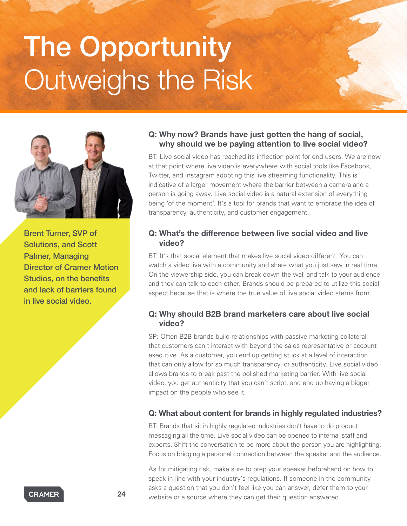# The Opportunity Outweighs the Risk



Brent Turner, SVP of Solutions, and Scott Palmer, Managing Director of Cramer Motion Studios, on the benefits and lack of barriers found in live social video.

# Q: Why now? Brands have just gotten the hang of social, why should we be paying attention to live social video?

BT: Live social video has reached its inflection point for end users. We are now at that point where live video is everywhere with social tools like Facebook, Twitter, and Instagram adopting this live streaming functionality. This is indicative of a larger movement where the barrier between a camera and a person is going away. Live social video is a natural extension of everything being 'of the moment'. It's a tool for brands that want to embrace the idea of transparency, authenticity, and customer engagement.

# Q: What's the difference between live social video and live video?

BT: It's that social element that makes live social video different. You can watch a video live with a community and share what you just saw in real time. On the viewership side, you can break down the wall and talk to your audience and they can talk to each other. Brands should be prepared to utilize this social aspect because that is where the true value of live social video stems from.

# Q: Why should B2B brand marketers care about live social video?

SP: Often B2B brands build relationships with passive marketing collateral that customers can't interact with beyond the sales representative or account executive. As a customer, you end up getting stuck at a level of interaction that can only allow for so much transparency, or authenticity. Live social video allows brands to break past the polished marketing barrier. With live social video, you get authenticity that you can't script, and end up having a bigger impact on the people who see it.

# Q: What about content for brands in highly regulated industries?

BT: Brands that sit in highly regulated industries don't have to do product messaging all the time. Live social video can be opened to internal staff and experts. Shift the conversation to be more about the person you are highlighting. Focus on bridging a personal connection between the speaker and the audience.

As for mitigating risk, make sure to prep your speaker beforehand on how to speak in-line with your industry's regulations. If someone in the community asks a question that you don't feel like you can answer, defer them to your **24** website or a source where they can get their question answered.